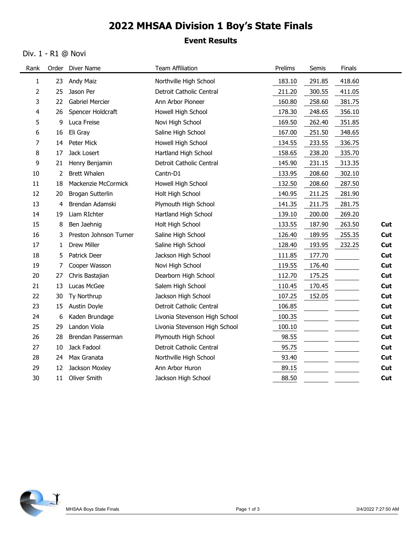## 2022 MHSAA Division 1 Boy's State Finals

## Event Results

### Div. 1 - R1 @ Novi

|              |              | Div. 1 - R1 @ Novi              |                                          |                  |                  |                  |            |
|--------------|--------------|---------------------------------|------------------------------------------|------------------|------------------|------------------|------------|
| Rank         |              | Order Diver Name                | <b>Team Affiliation</b>                  | Prelims          | Semis            | Finals           |            |
| $\mathbf{1}$ | 23           | <b>Andy Maiz</b>                | Northville High School                   | 183.10           | 291.85           | 418.60           |            |
| 2            | 25           | Jason Per                       | Detroit Catholic Central                 | 211.20           | 300.55           | 411.05           |            |
| 3            | 22           | <b>Gabriel Mercier</b>          | Ann Arbor Pioneer                        | 160.80           | 258.60           | 381.75           |            |
| 4            | 26           | Spencer Holdcraft               | Howell High School                       | 178.30           | 248.65           | 356.10           |            |
| 5            | 9            | Luca Freise                     | Novi High School                         | 169.50           | 262.40           | 351.85           |            |
| 6<br>7       |              | 16 Eli Gray<br>14 Peter Mick    | Saline High School<br>Howell High School | 167.00<br>134.55 | 251.50<br>233.55 | 348.65<br>336.75 |            |
| 8            | 17           | Jack Losert                     | Hartland High School                     | 158.65           | 238.20           | 335.70           |            |
| 9            | 21           | Henry Benjamin                  | Detroit Catholic Central                 | 145.90           | 231.15           | 313.35           |            |
| 10           |              | 2 Brett Whalen                  | Cantn-D1                                 | 133.95           | 208.60           | 302.10           |            |
| 11           |              | 18 Mackenzie McCormick          | Howell High School                       | 132.50           | 208.60           | 287.50           |            |
| 12           | 20           | Brogan Sutterlin                | Holt High School                         | 140.95           | 211.25           | 281.90           |            |
| 13           | 4            | Brendan Adamski                 | Plymouth High School                     | 141.35           | 211.75           | 281.75           |            |
| 14           | 19           | Liam RIchter                    | Hartland High School                     | 139.10           | 200.00           | 269.20           |            |
| 15           | 8            | Ben Jaehnig                     | Holt High School                         | 133.55           | 187.90           | 263.50           | Cut        |
| 16           | 3            | Preston Johnson Turner          | Saline High School                       | 126.40           | 189.95           | 255.35           | Cut        |
| 17           | $\mathbf{1}$ | Drew Miller                     | Saline High School                       | 128.40           | 193.95           | 232.25           | Cut        |
| $18\,$<br>19 | 7            | 5 Patrick Deer<br>Cooper Wasson | Jackson High School<br>Novi High School  | 111.85<br>119.55 | 177.70<br>176.40 |                  | Cut<br>Cut |
| 20           | 27           | Chris Bastajian                 | Dearborn High School                     | 112.70           | 175.25           |                  | Cut        |
| 21           | 13           | Lucas McGee                     | Salem High School                        | 110.45           | 170.45           |                  | Cut        |
| 22           | 30           | Ty Northrup                     | Jackson High School                      | 107.25           | 152.05           |                  | Cut        |
| 23           | 15           | Austin Doyle                    | Detroit Catholic Central                 | 106.85           |                  |                  | Cut        |
| 24           | 6            | Kaden Brundage                  | Livonia Stevenson High School            | 100.35           |                  |                  | Cut        |
| 25           | 29           | Landon Viola                    | Livonia Stevenson High School            | 100.10           |                  |                  | Cut        |
| 26           | 28           | Brendan Passerman               | Plymouth High School                     | 98.55            |                  |                  | Cut        |
| 27           | 10           | Jack Fadool                     | Detroit Catholic Central                 | 95.75            |                  |                  | Cut        |
| 28           |              | 24 Max Granata                  | Northville High School                   | 93.40            |                  |                  | Cut        |
| 29           | 12           | Jackson Moxley                  | Ann Arbor Huron                          | 89.15            |                  |                  | Cut        |
| $30\,$       | 11           | Oliver Smith                    | Jackson High School                      | 88.50            |                  |                  | Cut        |

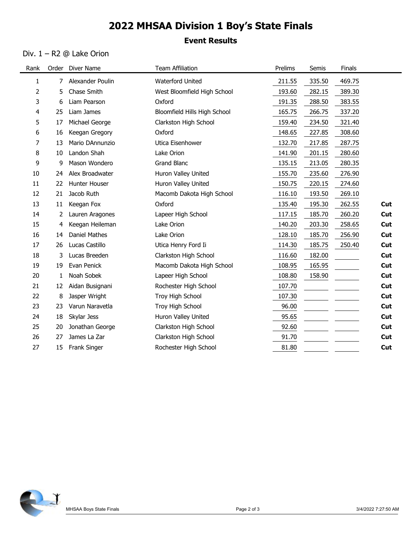# 2022 MHSAA Division 1 Boy's State Finals

## Event Results

#### Div. 1 – R2 @ Lake Orion

|          |              | Div. $1 - R2$ @ Lake Orion        |                                   |                  |                  |                  |            |
|----------|--------------|-----------------------------------|-----------------------------------|------------------|------------------|------------------|------------|
| Rank     |              | Order Diver Name                  | <b>Team Affiliation</b>           | Prelims          | Semis            | Finals           |            |
| 1        | 7            | Alexander Poulin                  | Waterford United                  | 211.55           | 335.50           | 469.75           |            |
| 2        | 5.           | Chase Smith                       | West Bloomfield High School       | 193.60           | 282.15           | 389.30           |            |
| 3        | 6.           | Liam Pearson                      | Oxford                            | 191.35           | 288.50           | 383.55           |            |
| 4        | 25           | Liam James                        | Bloomfield Hills High School      | 165.75           | 266.75           | 337.20           |            |
| 5        | 17<br>16     | Michael George                    | Clarkston High School<br>Oxford   | 159.40<br>148.65 | 234.50<br>227.85 | 321.40<br>308.60 |            |
| 6<br>7   | 13           | Keegan Gregory<br>Mario DAnnunzio | Utica Eisenhower                  | 132.70           | 217.85           | 287.75           |            |
| 8        | 10           | Landon Shah                       | Lake Orion                        | 141.90           | 201.15           | 280.60           |            |
| 9        | 9            | Mason Wondero                     | Grand Blanc                       | 135.15           | 213.05           | 280.35           |            |
| 10       | 24           | Alex Broadwater                   | Huron Valley United               | 155.70           | 235.60           | 276.90           |            |
| 11       |              | 22 Hunter Houser                  | Huron Valley United               | 150.75           | 220.15           | 274.60           |            |
| 12       | 21           | Jacob Ruth                        | Macomb Dakota High School         | 116.10           | 193.50           | 269.10           |            |
| 13       | 11           | Keegan Fox                        | Oxford                            | 135.40           | 195.30           | 262.55           | Cut        |
| 14       |              | 2 Lauren Aragones                 | Lapeer High School                | 117.15           | 185.70           | 260.20           | Cut        |
| 15       | 4            | Keegan Heileman                   | Lake Orion                        | 140.20           | 203.30           | 258.65           | Cut        |
| 16<br>17 | 14<br>26     | Daniel Mathes<br>Lucas Castillo   | Lake Orion<br>Utica Henry Ford Ii | 128.10<br>114.30 | 185.70<br>185.75 | 256.90<br>250.40 | Cut<br>Cut |
| 18       | 3            | Lucas Breeden                     | Clarkston High School             | 116.60           | 182.00           |                  | Cut        |
| 19       | 19           | Evan Penick                       | Macomb Dakota High School         | 108.95           | 165.95           |                  | Cut        |
| 20       | $\mathbf{1}$ | Noah Sobek                        | Lapeer High School                | 108.80           | 158.90           |                  | Cut        |
| 21       |              | 12 Aidan Busignani                | Rochester High School             | 107.70           |                  |                  | Cut        |
| 22       | 8            | Jasper Wright                     | Troy High School                  | 107.30           |                  |                  | Cut        |
| 23       | 23           | Varun Naravetla                   | Troy High School                  | 96.00            |                  |                  | Cut        |
| 24       | 18           | Skylar Jess                       | Huron Valley United               | 95.65            |                  |                  | Cut        |
| 25       | 20           | Jonathan George                   | Clarkston High School             | 92.60            |                  |                  | Cut        |
| 26       | 27           | James La Zar                      | Clarkston High School             | 91.70            |                  |                  | Cut        |
| 27       |              | 15 Frank Singer                   | Rochester High School             | 81.80            |                  |                  | Cut        |